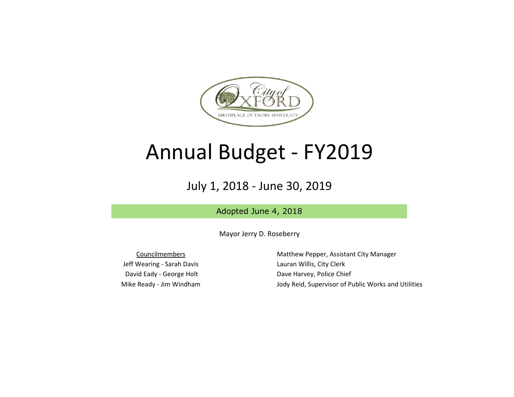

## Annual Budget - FY2019

## July 1, 2018 - June 30, 2019

Adopted June 4, 2018

Mayor Jerry D. Roseberry

Jeff Wearing - Sarah Davis **Lauran Willis, City Clerk** David Eady - George Holt Dave Harvey, Police Chief

Councilmembers **Matthew Pepper, Assistant City Manager** Mike Ready - Jim Windham Jody Reid, Supervisor of Public Works and Utilities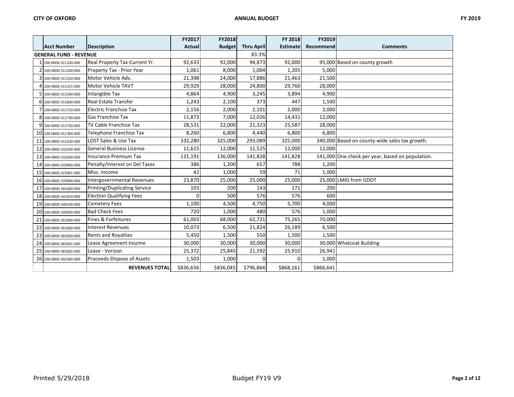|    |                               |                                     | FY2017        | <b>FY2018</b> |                   | <b>FY 2018</b> | FY2019    |                                                  |
|----|-------------------------------|-------------------------------------|---------------|---------------|-------------------|----------------|-----------|--------------------------------------------------|
|    | <b>Acct Number</b>            | <b>Description</b>                  | <b>Actual</b> | <b>Budget</b> | <b>Thru April</b> | Estimate       | Recommend | <b>Comments</b>                                  |
|    | <b>GENERAL FUND - REVENUE</b> |                                     |               | 83.3%         |                   |                |           |                                                  |
|    | 100-0000-311100-000           | Real Property Tax-Current Yr.       | 92,633        | 92,000        | 94,873            | 92,000         |           | 95,000 Based on county growth                    |
|    | 2 100-0000-311200-000         | Property Tax - Prior Year           | 1,061         | 8,000         | 1,004             | 1,205          | 5,000     |                                                  |
|    | 100-0000-311310-000           | Motor Vehicle Adv.                  | 21,398        | 24,000        | 17,886            | 21,463         | 21,500    |                                                  |
|    | 4 100-0000-311315-000         | Motor Vehicle TAVT                  | 29,929        | 28,000        | 24,800            | 29,760         | 28,000    |                                                  |
|    | 100-0000-311340-000           | Intangible Tax                      | 4,864         | 4,900         | 3,245             | 3,894          | 4,900     |                                                  |
|    | 6 100-0000-311600-000         | <b>Real Estate Transfer</b>         | 1,243         | 2,100         | 373               | 447            | 1,500     |                                                  |
|    | 100-0000-311710-000           | <b>Electric Franchise Tax</b>       | 2,156         | 2,000         | 2,101             | 2,000          | 2,000     |                                                  |
|    | 8 100-0000-311730-000         | <b>Gas Franchise Tax</b>            | 11,873        | 7,000         | 12,026            | 14,431         | 12,000    |                                                  |
| 9  | 100-0000-311750-000           | TV Cable Franchise Tax              | 28,531        | 22,000        | 21,323            | 25,587         | 28,000    |                                                  |
|    | 10 100-0000-311760-000        | Telephone Franchise Tax             | 8,260         | 6,800         | 4,440             | 6,800          | 6,800     |                                                  |
| 11 | 100-0000-313100-000           | <b>LOST Sales &amp; Use Tax</b>     | 332,280       | 325,000       | 293,089           | 325,000        |           | 340,000 Based on county-wide sales tax growth.   |
|    | 12 100-0000-316100-000        | <b>General Business License</b>     | 11,615        | 12,000        | 11,525            | 12,000         | 12,000    |                                                  |
| 13 | 100-0000-316200-000           | <b>Insurance Premium Tax</b>        | 131,191       | 136,000       | 141,828           | 141,828        |           | 141,000 One check per year, based on population. |
|    | 14 100-0000-319000-000        | Penalty/Interest on Del Taxes       | 386           | 1,200         | 657               | 788            | 1,200     |                                                  |
|    | 15 100-0000-322901-000        | Misc. Income                        | 42            | 1,000         | 59                | 71             | 1,000     |                                                  |
|    | 16 100-0000-335800-000        | Intergovernmental Revenues          | 23,870        | 25,000        | 25,000            | 25,000         |           | 25,000 LMIG from GDOT                            |
| 17 | 100-0000-341400-000           | <b>Printing/Duplicating Service</b> | 103           | 200           | 143               | 171            | 200       |                                                  |
|    | 18 100-0000-341910-000        | <b>Election Qualifying Fees</b>     | $\mathbf 0$   | 500           | 576               | 576            | 600       |                                                  |
| 19 | 100-0000-349100-000           | <b>Cemetery Fees</b>                | 1,100         | 4,500         | 4,750             | 5,700          | 4,000     |                                                  |
|    | 20 100-0000-349300-000        | <b>Bad Check Fees</b>               | 720           | 1,000         | 480               | 576            | 1,000     |                                                  |
| 21 | 100-0000-351000-000           | Fines & Forfeitures                 | 61,003        | 68,000        | 62,721            | 75,265         | 70,000    |                                                  |
| 22 | 100-0000-361000-000           | <b>Interest Revenues</b>            | 10,073        | 6,500         | 21,824            | 26,189         | 6,500     |                                                  |
| 23 | 100-0000-381000-000           | Rents and Royalties                 | 5,450         | 1,500         | 550               | 1,500          | 1,500     |                                                  |
| 24 | 100-0000-381001-000           | Lease Agreement Income              | 30,000        | 30,000        | 30,000            | 30,000         |           | 30,000 Whatcoat Building                         |
| 25 | 100-0000-381002-000           | Lease - Verizon                     | 25,372        | 25,845        | 21,592            | 25,910         | 26,941    |                                                  |
|    | 26 100-0000-392300-000        | Proceeds-Dispose of Assets          | 1,503         | 1,000         | 0                 | $\Omega$       | 1,000     |                                                  |
|    |                               | <b>REVENUES TOTAL</b>               | \$836,656     | \$836,045     | \$796,864         | \$868,161      | \$866,641 |                                                  |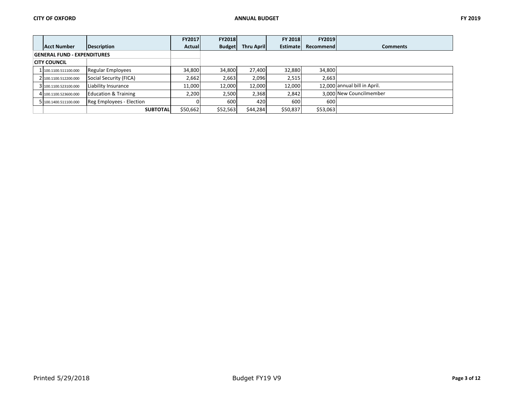|                                    |                                 | <b>FY2017</b> | <b>FY2018</b> |            | <b>FY 2018</b> | <b>FY2019</b> |                              |
|------------------------------------|---------------------------------|---------------|---------------|------------|----------------|---------------|------------------------------|
| <b>Acct Number</b>                 | Description                     | Actual        | <b>Budget</b> | Thru April | Estimate       | Recommend     | <b>Comments</b>              |
| <b>GENERAL FUND - EXPENDITURES</b> |                                 |               |               |            |                |               |                              |
| <b>CITY COUNCIL</b>                |                                 |               |               |            |                |               |                              |
| 1 100.1100.511100.000              | Regular Employees               | 34,800        | 34,800        | 27.400     | 32.880         | 34,800        |                              |
| 2 100.1100.512200.000              | Social Security (FICA)          | 2,662         | 2,663         | 2,096      | 2,515          | 2,663         |                              |
| 3 100.1100.523100.000              | Liability Insurance             | 11,000        | 12,000        | 12,000     | 12,000         |               | 12.000 annual bill in April. |
| 4 100.1100.523600.000              | <b>Education &amp; Training</b> | 2,200         | 2,500         | 2,368      | 2,842          |               | 3.000 New Councilmember      |
| 5 100.1400.511100.000              | <b>Reg Employees - Election</b> |               | 600           | 420        | 600            | 600           |                              |
|                                    | <b>SUBTOTAL</b>                 | \$50,662      | \$52,563      | \$44,284   | \$50,837       | \$53,063      |                              |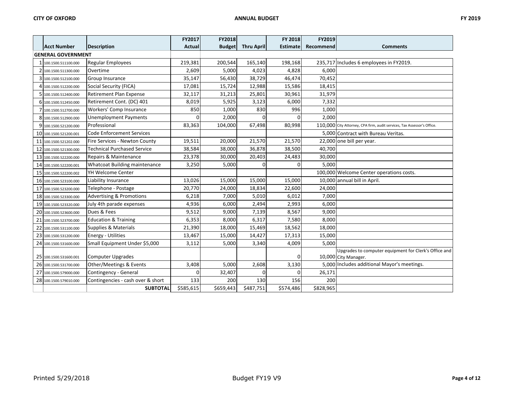|    |                           |                                     | FY2017        | FY2018        |                   | FY 2018         | FY2019    |                                                                               |
|----|---------------------------|-------------------------------------|---------------|---------------|-------------------|-----------------|-----------|-------------------------------------------------------------------------------|
|    | <b>Acct Number</b>        | Description                         | <b>Actual</b> | <b>Budget</b> | <b>Thru April</b> | <b>Estimate</b> | Recommend | <b>Comments</b>                                                               |
|    | <b>GENERAL GOVERNMENT</b> |                                     |               |               |                   |                 |           |                                                                               |
|    | 1 100.1500.511100.000     | <b>Regular Employees</b>            | 219,381       | 200,544       | 165,140           | 198,168         |           | 235,717 Includes 6 employees in FY2019.                                       |
|    | 100.1500.511300.000       | Overtime                            | 2,609         | 5,000         | 4,023             | 4,828           | 6,000     |                                                                               |
| 3  | 100.1500.512100.000       | Group Insurance                     | 35,147        | 56,430        | 38,729            | 46,474          | 70,452    |                                                                               |
| 4  | 100.1500.512200.000       | Social Security (FICA)              | 17,081        | 15,724        | 12,988            | 15,586          | 18,415    |                                                                               |
|    | 100.1500.512400.000       | Retirement Plan Expense             | 32,117        | 31,213        | 25,801            | 30,961          | 31,979    |                                                                               |
|    | 6 100.1500.512450.000     | Retirement Cont. (DC) 401           | 8,019         | 5,925         | 3,123             | 6,000           | 7,332     |                                                                               |
|    | 7 100.1500.512700.000     | Workers' Comp Insurance             | 850           | 1,000         | 830               | 996             | 1,000     |                                                                               |
|    | 8 100.1500.512900.000     | <b>Unemployment Payments</b>        | 0             | 2,000         | 0                 | $\overline{0}$  | 2,000     |                                                                               |
| 9  | 100.1500.521200.000       | Professional                        | 83,363        | 104,000       | 67,498            | 80,998          |           | 110,000 City Attorney, CPA firm, audit services, Tax Assessor's Office.       |
|    | 10 100.1500.521200.001    | <b>Code Enforcement Services</b>    |               |               |                   |                 |           | 5,000 Contract with Bureau Veritas.                                           |
|    | 11 100.1500.521202.000    | Fire Services - Newton County       | 19,511        | 20,000        | 21,570            | 21,570          |           | 22,000 one bill per year.                                                     |
| 12 | 100.1500.521300.000       | <b>Technical Purchased Service</b>  | 38,584        | 38,000        | 36,878            | 38,500          | 40,700    |                                                                               |
|    | 13 100.1500.522200.000    | Repairs & Maintenance               | 23,378        | 30,000        | 20,403            | 24,483          | 30,000    |                                                                               |
|    | 14 100.1500.522200.001    | Whatcoat Building maintenance       | 3,250         | 5,000         | O                 | $\Omega$        | 5,000     |                                                                               |
| 15 | 100.1500.522200.002       | YH Welcome Center                   |               |               |                   |                 |           | 100.000 Welcome Center operations costs.                                      |
|    | 16 100.1500.523100.000    | Liability Insurance                 | 13,026        | 15,000        | 15,000            | 15,000          |           | 10,000 annual bill in April.                                                  |
|    | 17 100.1500.523200.000    | Telephone - Postage                 | 20,770        | 24,000        | 18,834            | 22,600          | 24,000    |                                                                               |
|    | 18 100.1500.523300.000    | <b>Advertising &amp; Promotions</b> | 6,218         | 7,000         | 5,010             | 6,012           | 7,000     |                                                                               |
| 19 | 100.1500.523320.000       | July 4th parade expenses            | 4,936         | 6,000         | 2,494             | 2,993           | 6,000     |                                                                               |
| 20 | 100.1500.523600.000       | Dues & Fees                         | 9,512         | 9,000         | 7,139             | 8,567           | 9,000     |                                                                               |
|    | 21 100.1500.523700.000    | <b>Education &amp; Training</b>     | 6,353         | 8,000         | 6,317             | 7,580           | 8,000     |                                                                               |
| 22 | 100.1500.531100.000       | <b>Supplies &amp; Materials</b>     | 21,390        | 18,000        | 15,469            | 18,562          | 18,000    |                                                                               |
| 23 | 100.1500.531200.000       | Energy - Utilities                  | 13,467        | 15,000        | 14,427            | 17,313          | 15,000    |                                                                               |
|    | 24 100.1500.531600.000    | Small Equipment Under \$5,000       | 3,112         | 5,000         | 3,340             | 4,009           | 5,000     |                                                                               |
|    | 25 100.1500.531600.001    | Computer Upgrades                   |               |               |                   | 0               |           | Upgrades to computer equipment for Clerk's Office and<br>10,000 City Manager. |
|    | 26 100.1500.531700.000    | Other/Meetings & Events             | 3,408         | 5,000         | 2,608             | 3,130           |           | 5,000 Includes additional Mayor's meetings.                                   |
| 27 | 100.1500.579000.000       | Contingency - General               | $\Omega$      | 32,407        | $\Omega$          | $\Omega$        | 26,171    |                                                                               |
|    | 28 100.1500.579010.000    | Contingencies - cash over & short   | 133           | 200           | 130               | 156             | 200       |                                                                               |
|    |                           | <b>SUBTOTAL</b>                     | \$585,615     | \$659,443     | \$487,751         | \$574,486       | \$828,965 |                                                                               |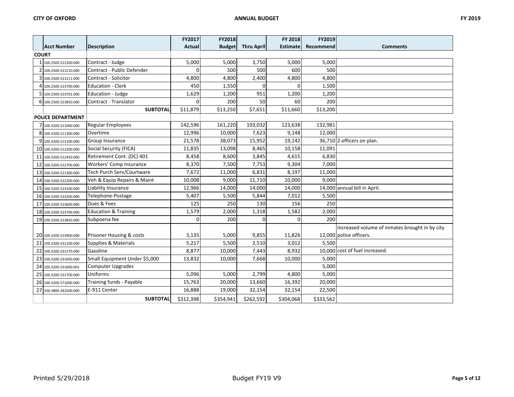|              |                          |                                 | FY2017        | FY2018        |                   | <b>FY 2018</b>  | FY2019    |                                                |
|--------------|--------------------------|---------------------------------|---------------|---------------|-------------------|-----------------|-----------|------------------------------------------------|
|              | <b>Acct Number</b>       | <b>Description</b>              | <b>Actual</b> | <b>Budget</b> | <b>Thru April</b> | <b>Estimate</b> | Recommend | <b>Comments</b>                                |
| <b>COURT</b> |                          |                                 |               |               |                   |                 |           |                                                |
|              | 100.2500.521200.000      | Contract - Judge                | 5,000         | 5,000         | 3,750             | 5,000           | 5,000     |                                                |
|              | 100.2500.521210.000      | Contract - Public Defender      | $\Omega$      | 500           | 500               | 600             | 500       |                                                |
|              | 100.2500.521211.000      | Contract - Solicitor            | 4,800         | 4,800         | 2,400             | 4,800           | 4,800     |                                                |
|              | 100.2500.523700.000      | <b>Education - Clerk</b>        | 450           | 1,550         | 0                 | 0               | 1,500     |                                                |
|              | 100.2500.523701.000      | Education - Judge               | 1,629         | 1,200         | 951               | 1,200           | 1,200     |                                                |
|              | 100.2500.523850.000      | Contract - Translator           | ŋ             | 200           | 50                | 60              | 200       |                                                |
|              |                          | <b>SUBTOTAL</b>                 | \$11,879      | \$13,250      | \$7,651           | \$11,660        | \$13,200  |                                                |
|              | <b>POLICE DEPARTMENT</b> |                                 |               |               |                   |                 |           |                                                |
|              | 100.3200.511000.000      | <b>Regular Employees</b>        | 142,596       | 161,220       | 103,032           | 123,638         | 132,981   |                                                |
|              | 100.3200.511300.000      | Overtime                        | 12,996        | 10,000        | 7,623             | 9,148           | 12,000    |                                                |
|              | 100.3200.512100.000      | Group Insurance                 | 21,578        | 38,073        | 15,952            | 19,142          |           | 36,710 2 officers on plan.                     |
|              | 10 100.3200.512200.000   | Social Security (FICA)          | 11,835        | 13,098        | 8,465             | 10,158          | 11,091    |                                                |
|              | 11 100.3200.512450.000   | Retirement Cont. (DC) 401       | 8,458         | 8,600         | 3,845             | 4,615           | 6,830     |                                                |
| 12           | 100.3200.512700.000      | Workers' Comp Insurance         | 8,370         | 7,500         | 7,753             | 9,304           | 7,000     |                                                |
| 13           | 100.3200.521300.000      | Tech Purch Serv/Courtware       | 7,672         | 11,000        | 6,831             | 8,197           | 11,000    |                                                |
| 14           | 100.3200.522200.000      | Veh & Equip Repairs & Maint     | 10,008        | 9,000         | 11,710            | 10,000          | 9,000     |                                                |
|              | 15 100.3200.523100.000   | Liability Insurance             | 12,966        | 14,000        | 14,000            | 14,000          |           | 14,000 annual bill in April.                   |
|              | 16 100.3200.523200.000   | Telephone-Postage               | 5,407         | 5,500         | 5,844             | 7,012           | 5,500     |                                                |
|              | 17 100.3200.523600.000   | Dues & Fees                     | 125           | 250           | 130               | 156             | 250       |                                                |
|              | 18 100.3200.523700.000   | <b>Education &amp; Training</b> | 1,579         | 2,000         | 1,318             | 1,582           | 2,000     |                                                |
|              | 19 100.3200.523850.000   | Subpoena fee                    | O             | 200           | $\Omega$          | O               | 200       |                                                |
|              |                          |                                 |               |               |                   |                 |           | Increased volume of inmates brought in by city |
|              | 20 100.3200.523900.000   | Prisoner Housing & costs        | 3,135         | 5,000         | 9,855             | 11,826          |           | 12,000 police officers.                        |
|              | 21 100.3200.531100.000   | <b>Supplies &amp; Materials</b> | 5,217         | 5,500         | 2,510             | 3,012           | 5,500     |                                                |
| 22           | 100.3200.531270.000      | Gasoline                        | 8,877         | 10,000        | 7,443             | 8,932           |           | 10,000 cost of fuel increased.                 |
| 23           | 100.3200.531600.000      | Small Equipment Under \$5,000   | 13,832        | 10,000        | 7,668             | 10,000          | 5,000     |                                                |
| 24           | 100.3200.531600.001      | <b>Computer Upgrades</b>        |               |               |                   |                 | 5,000     |                                                |
|              | 25 100.3200.531700.000   | Uniforms                        | 5,096         | 5,000         | 2,799             | 4,800           | 5,000     |                                                |
|              | 26 100.3200.571000.000   | Training funds - Payable        | 15,763        | 20,000        | 13,660            | 16,392          | 20,000    |                                                |
| 27           | 100.3800.342500.000      | E-911 Center                    | 16,888        | 19,000        | 32,154            | 32,154          | 22,500    |                                                |
|              |                          | <b>SUBTOTAL</b>                 | \$312,398     | \$354,941     | \$262,592         | \$304,068       | \$333,562 |                                                |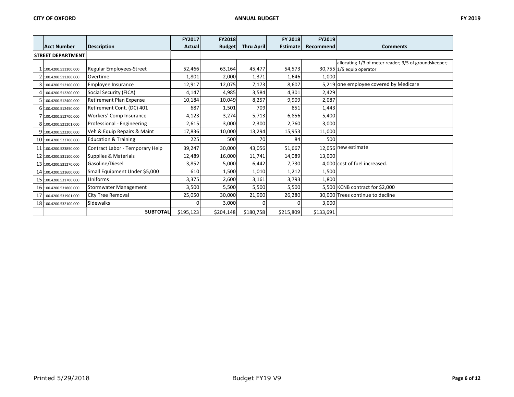|                          |                                 | FY2017       | <b>FY2018</b> |                   | FY 2018         | FY2019    |                                                       |
|--------------------------|---------------------------------|--------------|---------------|-------------------|-----------------|-----------|-------------------------------------------------------|
| Acct Number              | Description                     | Actual       | <b>Budget</b> | <b>Thru April</b> | <b>Estimate</b> | Recommend | <b>Comments</b>                                       |
| <b>STREET DEPARTMENT</b> |                                 |              |               |                   |                 |           |                                                       |
|                          |                                 |              |               |                   |                 |           | allocating 1/3 of meter reader; 3/5 of groundskeeper; |
| 1 100.4200.511100.000    | Regular Employees-Street        | 52,466       | 63,164        | 45,477            | 54,573          |           | 30,755 1/5 equip operator                             |
| 100.4200.511300.000      | Overtime                        | 1,801        | 2,000         | 1,371             | 1,646           | 1,000     |                                                       |
| 3 100.4200.512100.000    | Employee Insurance              | 12,917       | 12,075        | 7,173             | 8,607           |           | 5,219 one employee covered by Medicare                |
| 4 100.4200.512200.000    | Social Security (FICA)          | 4,147        | 4,985         | 3,584             | 4,301           | 2,429     |                                                       |
| 5 100.4200.512400.000    | <b>Retirement Plan Expense</b>  | 10,184       | 10,049        | 8,257             | 9,909           | 2,087     |                                                       |
| 6 100.4200.512450.000    | Retirement Cont. (DC) 401       | 687          | 1,501         | 709               | 851             | 1,443     |                                                       |
| 100.4200.512700.000      | Workers' Comp Insurance         | 4,123        | 3,274         | 5,713             | 6,856           | 5,400     |                                                       |
| 8 100.4200.521201.000    | Professional - Engineering      | 2,615        | 3,000         | 2,300             | 2,760           | 3,000     |                                                       |
| 9 100.4200.522200.000    | Veh & Equip Repairs & Maint     | 17,836       | 10,000        | 13,294            | 15,953          | 11,000    |                                                       |
| 10 100.4200.523700.000   | <b>Education &amp; Training</b> | 225          | 500           | 70                | 84              | 500       |                                                       |
| 11 100.4200.523850.000   | Contract Labor - Temporary Help | 39,247       | 30,000        | 43,056            | 51,667          |           | 12,056 new estimate                                   |
| 12 100.4200.531100.000   | Supplies & Materials            | 12,489       | 16,000        | 11,741            | 14,089          | 13,000    |                                                       |
| 13 100.4200.531270.000   | Gasoline/Diesel                 | 3,852        | 5,000         | 6,442             | 7,730           |           | 4,000 cost of fuel increased.                         |
| 14 100.4200.531600.000   | Small Equipment Under \$5,000   | 610          | 1,500         | 1,010             | 1,212           | 1,500     |                                                       |
| 15 100.4200.531700.000   | Uniforms                        | 3,375        | 2,600         | 3,161             | 3,793           | 1,800     |                                                       |
| 16 100.4200.531800.000   | <b>Stormwater Management</b>    | 3,500        | 5,500         | 5,500             | 5,500           |           | 5,500 KCNB contract for \$2,000                       |
| 17 100.4200.531901.000   | <b>City Tree Removal</b>        | 25,050       | 30,000        | 21,900            | 26,280          |           | 30.000 Trees continue to decline                      |
| 18 100.4200.532100.000   | <b>Sidewalks</b>                | <sup>0</sup> | 3,000         |                   | <sup>0</sup>    | 3,000     |                                                       |
|                          | <b>SUBTOTAL</b>                 | \$195,123    | \$204,148     | \$180,758         | \$215,809       | \$133,691 |                                                       |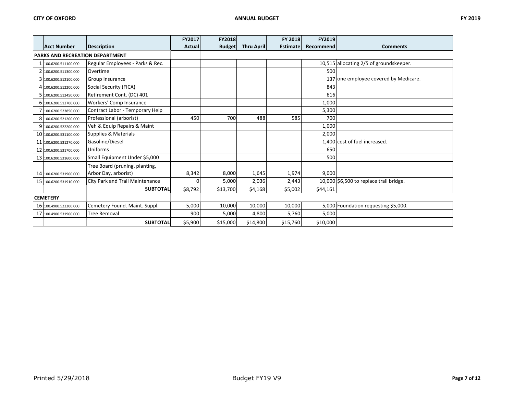|    |                                        |                                  | FY2017  | <b>FY2018</b> |                   | <b>FY 2018</b>  | FY2019    |                                         |
|----|----------------------------------------|----------------------------------|---------|---------------|-------------------|-----------------|-----------|-----------------------------------------|
|    | Acct Number                            | <b>Description</b>               | Actual  | <b>Budget</b> | <b>Thru April</b> | <b>Estimate</b> | Recommend | <b>Comments</b>                         |
|    | <b>PARKS AND RECREATION DEPARTMENT</b> |                                  |         |               |                   |                 |           |                                         |
|    | 100.6200.511100.000                    | Regular Employees - Parks & Rec. |         |               |                   |                 |           | 10,515 allocating 2/5 of groundskeeper. |
|    | 100.6200.511300.000                    | Overtime                         |         |               |                   |                 | 500       |                                         |
|    | 100.6200.512100.000                    | Group Insurance                  |         |               |                   |                 |           | 137 one employee covered by Medicare.   |
|    | 100.6200.512200.000                    | Social Security (FICA)           |         |               |                   |                 | 843       |                                         |
|    | 100.6200.512450.000                    | Retirement Cont. (DC) 401        |         |               |                   |                 | 616       |                                         |
|    | 6 100.6200.512700.000                  | Workers' Comp Insurance          |         |               |                   |                 | 1,000     |                                         |
|    | 100.6200.523850.000                    | Contract Labor - Temporary Help  |         |               |                   |                 | 5,300     |                                         |
|    | 8 100.6200.521200.000                  | Professional (arborist)          | 450     | 700           | 488               | 585             | 700       |                                         |
|    | 9 100.6200.522200.000                  | Veh & Equip Repairs & Maint      |         |               |                   |                 | 1,000     |                                         |
|    | 10 100.6200.531100.000                 | <b>Supplies &amp; Materials</b>  |         |               |                   |                 | 2,000     |                                         |
|    | 11 100.6200.531270.000                 | Gasoline/Diesel                  |         |               |                   |                 |           | 1,400 cost of fuel increased.           |
| 12 | 100.6200.531700.000                    | Uniforms                         |         |               |                   |                 | 650       |                                         |
|    | 13 100.6200.531600.000                 | Small Equipment Under \$5,000    |         |               |                   |                 | 500       |                                         |
|    |                                        | Tree Board (pruning, planting,   |         |               |                   |                 |           |                                         |
|    | 14 100.6200.531900.000                 | Arbor Day, arborist)             | 8,342   | 8,000         | 1,645             | 1,974           | 9,000     |                                         |
|    | 15 100.6200.531910.000                 | City Park and Trail Maintenance  |         | 5,000         | 2,036             | 2,443           |           | 10,000 \$6,500 to replace trail bridge. |
|    |                                        | <b>SUBTOTAL</b>                  | \$8,792 | \$13,700      | \$4,168           | \$5,002         | \$44,161  |                                         |
|    | <b>CEMETERY</b>                        |                                  |         |               |                   |                 |           |                                         |
|    | 16 100.4900.522200.000                 | Cemetery Found. Maint. Suppl.    | 5,000   | 10,000        | 10,000            | 10,000          |           | 5,000 Foundation requesting \$5,000.    |
|    | 17 100.4900.531900.000                 | <b>Tree Removal</b>              | 900     | 5,000         | 4,800             | 5,760           | 5,000     |                                         |
|    |                                        | <b>SUBTOTAL</b>                  | \$5,900 | \$15,000      | \$14,800          | \$15,760        | \$10,000  |                                         |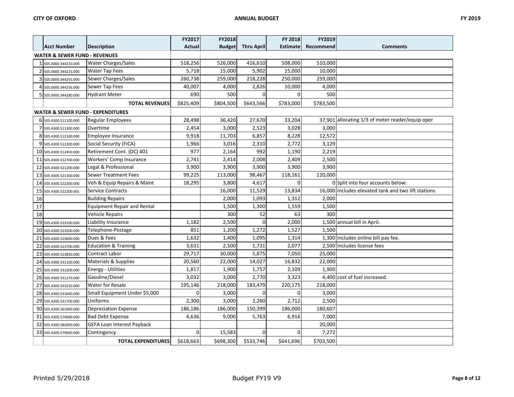|    |                                              |                                    | FY2017      | FY2018        |                   | FY 2018         | FY2019    |                                                      |
|----|----------------------------------------------|------------------------------------|-------------|---------------|-------------------|-----------------|-----------|------------------------------------------------------|
|    | <b>Acct Number</b>                           | <b>Description</b>                 | Actual      | <b>Budget</b> | <b>Thru April</b> | <b>Estimate</b> | Recommend | <b>Comments</b>                                      |
|    | <b>WATER &amp; SEWER FUND - REVENUES</b>     |                                    |             |               |                   |                 |           |                                                      |
|    | 1 505.0000.344210.000                        | <b>Water Charges/Sales</b>         | 518,256     | 526,000       | 416,610           | 508,000         | 510,000   |                                                      |
|    | 2 505.0000.344215.000                        | <b>Water Tap Fees</b>              | 5,718       | 15,000        | 5,902             | 15,000          | 10,000    |                                                      |
|    | 3 505.0000.344255.000                        | Sewer Charges/Sales                | 260,738     | 259,000       | 218,228           | 250,000         | 259,000   |                                                      |
|    | 4 505.0000.344256.000                        | Sewer Tap Fees                     | 40,007      | 4,000         | 2,826             | 10,000          | 4,000     |                                                      |
|    | 5 505.0000.344280.000                        | <b>Hydrant Meter</b>               | 690         | 500           | 0                 | 0               | 500       |                                                      |
|    |                                              | <b>TOTAL REVENUES</b>              | \$825,409   | \$804,500     | \$643,566         | \$783,000       | \$783,500 |                                                      |
|    | <b>WATER &amp; SEWER FUND - EXPENDITURES</b> |                                    |             |               |                   |                 |           |                                                      |
|    | 6 505.4300.511100.000                        | <b>Regular Employees</b>           | 28,498      | 36,420        | 27,670            | 33,204          |           | 37,901 allocating 1/3 of meter reader/equip oper     |
|    | 505.4300.511300.000                          | Overtime                           | 2,454       | 3,000         | 2,523             | 3,028           | 3,000     |                                                      |
|    | 8 505.4300.512100.000                        | Employee Insurance                 | 9,918       | 11,703        | 6,857             | 8,228           | 12,572    |                                                      |
|    | 9 505.4300.512200.000                        | Social Security (FICA)             | 1,966       | 3,016         | 2,310             | 2,772           | 3,129     |                                                      |
|    | 10 505.4300.512450.000                       | Retirement Cont. (DC) 401          | 977         | 2,164         | 992               | 1,190           | 2,219     |                                                      |
|    | 11 505.4300.512700.000                       | Workers' Comp Insurance            | 2,741       | 2,414         | 2,008             | 2,409           | 2,500     |                                                      |
|    | 12 505.4300.521200.000                       | Legal & Professional               | 3,900       | 3,900         | 3,900             | 3,900           | 3,900     |                                                      |
|    | 13 505.4300.521300.000                       | <b>Sewer Treatment Fees</b>        | 99,225      | 113,000       | 98,467            | 118,161         | 120,000   |                                                      |
|    | 14 505.4300.522200.000                       | Veh & Equip Repairs & Maint        | 18,295      | 3,800         | 4,617             | $\Omega$        |           | 0 Split into four accounts below:                    |
|    | 15 505.4300.522200.001                       | Service Contracts                  |             | 16,000        | 11,529            | 13,834          |           | 16,000 Includes elevated tank and two lift stations. |
| 16 |                                              | <b>Building Repairs</b>            |             | 2,000         | 1,093             | 1,312           | 2,000     |                                                      |
| 17 |                                              | <b>Equipment Repair and Rental</b> |             | 1,500         | 1,300             | 1,559           | 1,500     |                                                      |
| 18 |                                              | <b>Vehicle Repairs</b>             |             | 300           | 52                | 63              | 300       |                                                      |
|    | 19 505.4300.523100.000                       | Liability Insurance                | 1,182       | 2,500         | $\mathbf 0$       | 2,000           |           | 1,500 annual bill in April.                          |
|    | 20 505.4300.523200.000                       | Telephone-Postage                  | 851         | 1,200         | 1,272             | 1,527           | 1,500     |                                                      |
|    | 21 505.4300.523600.000                       | Dues & Fees                        | 1,632       | 1,400         | 1,095             | 1,314           |           | 1,300 Includes online bill pay fee.                  |
|    | 22 505.4300.523700.000                       | <b>Education &amp; Training</b>    | 3,631       | 2,500         | 1,731             | 2,077           |           | 2,500 Includes license fees                          |
|    | 23 505.4300.523850.000                       | Contract Labor                     | 29,717      | 30,000        | 5,875             | 7,050           | 25,000    |                                                      |
|    | 24 505.4300.531100.000                       | <b>Materials &amp; Supplies</b>    | 20,560      | 22,000        | 14,027            | 16,832          | 22,000    |                                                      |
|    | 25 505.4300.531200.000                       | <b>Energy - Utilities</b>          | 1,817       | 1,900         | 1,757             | 2,109           | 1,900     |                                                      |
|    | 26 505.4300.531270.000                       | Gasoline/Diesel                    | 3,032       | 3,000         | 2,770             | 3,323           |           | 4,400 cost of fuel increased.                        |
|    | 27 505.4300.531510.000                       | Water for Resale                   | 195,146     | 218,000       | 183,479           | 220,175         | 218,000   |                                                      |
|    | 28 505.4300.531600.000                       | Small Equipment Under \$5,000      | $\mathbf 0$ | 3,000         | 0                 | $\mathbf 0$     | 3,000     |                                                      |
|    | 29 505.4300.531700.000                       | Uniforms                           | 2,300       | 3,000         | 2,260             | 2,712           | 2,500     |                                                      |
|    | 30 505.4300.561000.000                       | <b>Depreciation Expense</b>        | 186,186     | 186,000       | 150,399           | 186,000         | 180,607   |                                                      |
|    | 31 505.4300.574000.000                       | <b>Bad Debt Expense</b>            | 4,636       | 9,000         | 5,763             | 6,916           | 7,000     |                                                      |
|    | 32 505.4300.582000.000                       | GEFA Loan Interest Payback         |             |               |                   |                 | 20,000    |                                                      |
|    | 33 505.4300.579000.000                       | Contingency                        | $\mathbf 0$ | 15,583        | $\Omega$          | $\mathbf 0$     | 7,272     |                                                      |
|    |                                              | <b>TOTAL EXPENDITURES</b>          | \$618,663   | \$698,300     | \$533,746         | \$641,696       | \$703,500 |                                                      |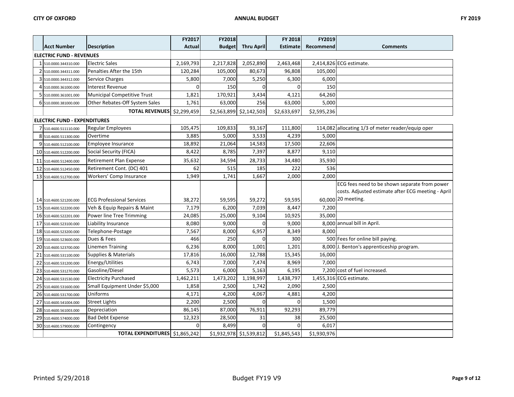|                                     |                                    | FY2017         | <b>FY2018</b> |                         | FY 2018         | FY2019      |                                                    |
|-------------------------------------|------------------------------------|----------------|---------------|-------------------------|-----------------|-------------|----------------------------------------------------|
| <b>Acct Number</b>                  | <b>Description</b>                 | Actual         | <b>Budget</b> | <b>Thru April</b>       | <b>Estimate</b> | Recommend   | <b>Comments</b>                                    |
| <b>ELECTRIC FUND - REVENUES</b>     |                                    |                |               |                         |                 |             |                                                    |
| 1 510.0000.344310.000               | <b>Electric Sales</b>              | 2,169,793      | 2,217,828     | 2,052,890               | 2,463,468       |             | 2,414,826 ECG estimate.                            |
| 2 510.0000.344311.000               | Penalties After the 15th           | 120,284        | 105,000       | 80,673                  | 96,808          | 105,000     |                                                    |
| 3 510.0000.344312.000               | Service Charges                    | 5,800          | 7,000         | 5,250                   | 6,300           | 6,000       |                                                    |
| 4 510.0000.361000.000               | <b>Interest Revenue</b>            | $\Omega$       | 150           | U                       | $\Omega$        | 150         |                                                    |
| 5 510.0000.361001.000               | <b>Municipal Competitive Trust</b> | 1,821          | 170,921       | 3,434                   | 4,121           | 64,260      |                                                    |
| 6 510.0000.381000.000               | Other Rebates-Off System Sales     | 1,761          | 63,000        | 256                     | 63,000          | 5,000       |                                                    |
|                                     | TOTAL REVENUES \$2,299,459         |                |               | \$2,563,899 \$2,142,503 | \$2,633,697     | \$2,595,236 |                                                    |
| <b>ELECTRIC FUND - EXPENDITURES</b> |                                    |                |               |                         |                 |             |                                                    |
| 7 510.4600.511110.000               | <b>Regular Employees</b>           | 105,475        | 109,833       | 93,167                  | 111,800         |             | 114,082 allocating 1/3 of meter reader/equip oper  |
| 8 510.4600.511300.000               | Overtime                           | 3,885          | 5,000         | 3,533                   | 4,239           | 5,000       |                                                    |
| 9 510.4600.512100.000               | Employee Insurance                 | 18,892         | 21,064        | 14,583                  | 17,500          | 22,606      |                                                    |
| 10 510.4600.512200.000              | Social Security (FICA)             | 8,422          | 8,785         | 7,397                   | 8,877           | 9,110       |                                                    |
| 11 510.4600.512400.000              | Retirement Plan Expense            | 35,632         | 34,594        | 28,733                  | 34,480          | 35,930      |                                                    |
| 12 510.4600.512450.000              | Retirement Cont. (DC) 401          | 62             | 515           | 185                     | 222             | 536         |                                                    |
| 13 510.4600.512700.000              | Workers' Comp Insurance            | 1,949          | 1,741         | 1,667                   | 2,000           | 2,000       |                                                    |
|                                     |                                    |                |               |                         |                 |             | ECG fees need to be shown separate from power      |
|                                     |                                    |                |               |                         |                 |             | costs. Adjusted estimate after ECG meeting - April |
| 14 510.4600.521200.000              | <b>ECG Professional Services</b>   | 38,272         | 59,595        | 59,272                  | 59,595          |             | 60,000 20 meeting.                                 |
| 15 510.4600.522200.000              | Veh & Equip Repairs & Maint        | 7,179          | 6,200         | 7,039                   | 8,447           | 7,200       |                                                    |
| 16 510.4600.522201.000              | Power line Tree Trimming           | 24,085         | 25,000        | 9,104                   | 10,925          | 35,000      |                                                    |
| 17 510.4600.523100.000              | Liability Insurance                | 8,080          | 9,000         | <sup>0</sup>            | 9,000           |             | 8,000 annual bill in April.                        |
| 18 510.4600.523200.000              | Telephone-Postage                  | 7,567          | 8,000         | 6,957                   | 8,349           | 8,000       |                                                    |
| 19 510.4600.523600.000              | Dues & Fees                        | 466            | 250           | 0                       | 300             |             | 500 Fees for online bill paying.                   |
| 20 510.4600.523700.000              | <b>Linemen Training</b>            | 6,236          | 8,000         | 1,001                   | 1,201           |             | 8,000 J. Benton's apprenticeship program.          |
| 21 510.4600.531100.000              | Supplies & Materials               | 17,816         | 16,000        | 12,788                  | 15,345          | 16,000      |                                                    |
| 22 510.4600.531200.000              | Energy/Utilities                   | 6,743          | 7,000         | 7,474                   | 8,969           | 7,000       |                                                    |
| 23 510.4600.531270.000              | Gasoline/Diesel                    | 5,573          | 6,000         | 5,163                   | 6,195           |             | 7,200 cost of fuel increased.                      |
| 24 510.4600.531530.000              | <b>Electricity Purchased</b>       | 1,462,211      | 1,473,202     | 1,198,997               | 1,438,797       |             | 1,455,316 ECG estimate.                            |
| 25 510.4600.531600.000              | Small Equipment Under \$5,000      | 1,858          | 2,500         | 1,742                   | 2,090           | 2,500       |                                                    |
| 26 510.4600.531700.000              | Uniforms                           | 4,171          | 4,200         | 4,067                   | 4,881           | 4,200       |                                                    |
| 27 510.4600.541004.000              | <b>Street Lights</b>               | 2,200          | 2,500         | $\Omega$                | $\mathbf 0$     | 1,500       |                                                    |
| 28 510.4600.561003.000              | Depreciation                       | 86,145         | 87,000        | 76,911                  | 92,293          | 89,779      |                                                    |
| 29 510.4600.574000.000              | <b>Bad Debt Expense</b>            | 12,323         | 28,500        | 31                      | 38              | 25,500      |                                                    |
| 30 510.4600.579000.000              | Contingency                        | $\overline{0}$ | 8,499         | 0                       | $\Omega$        | 6,017       |                                                    |
|                                     | TOTAL EXPENDITURES \$1,865,242     |                |               | \$1,932,978 \$1,539,812 | \$1,845,543     | \$1,930,976 |                                                    |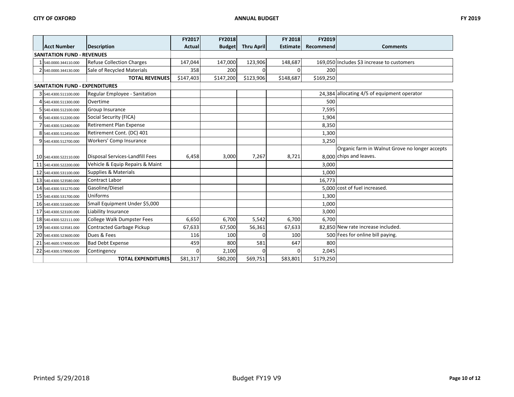|                                       |                                   | FY2017    | <b>FY2018</b> |                   | FY 2018         | FY2019    |                                                |
|---------------------------------------|-----------------------------------|-----------|---------------|-------------------|-----------------|-----------|------------------------------------------------|
| <b>Acct Number</b>                    | <b>Description</b>                | Actual    | <b>Budget</b> | <b>Thru April</b> | <b>Estimate</b> | Recommend | <b>Comments</b>                                |
| <b>SANITATION FUND - REVENUES</b>     |                                   |           |               |                   |                 |           |                                                |
| 540.0000.344110.000                   | <b>Refuse Collection Charges</b>  | 147,044   | 147,000       | 123,906           | 148,687         |           | 169,050 Includes \$3 increase to customers     |
| 2 540.0000.344130.000                 | Sale of Recycled Materials        | 358       | 200           |                   | $\Omega$        | 200       |                                                |
|                                       | <b>TOTAL REVENUES</b>             | \$147,403 | \$147,200     | \$123,906         | \$148,687       | \$169,250 |                                                |
| <b>SANITATION FUND - EXPENDITURES</b> |                                   |           |               |                   |                 |           |                                                |
| 3 540.4300.511100.000                 | Regular Employee - Sanitation     |           |               |                   |                 |           | 24,384 allocating 4/5 of equipment operator    |
| 4 540.4300.511300.000                 | Overtime                          |           |               |                   |                 | 500       |                                                |
| 5 540.4300.512100.000                 | Group Insurance                   |           |               |                   |                 | 7,595     |                                                |
| 6 540.4300.512200.000                 | Social Security (FICA)            |           |               |                   |                 | 1,904     |                                                |
| 540.4300.512400.000                   | <b>Retirement Plan Expense</b>    |           |               |                   |                 | 8,350     |                                                |
| 8 540.4300.512450.000                 | Retirement Cont. (DC) 401         |           |               |                   |                 | 1,300     |                                                |
| 9 540.4300.512700.000                 | Workers' Comp Insurance           |           |               |                   |                 | 3,250     |                                                |
|                                       |                                   |           |               |                   |                 |           | Organic farm in Walnut Grove no longer accepts |
| 10 540.4300.522110.000                | Disposal Services-Landfill Fees   | 6,458     | 3,000         | 7,267             | 8,721           |           | 8,000 chips and leaves.                        |
| 11 540.4300.522200.000                | Vehicle & Equip Repairs & Maint   |           |               |                   |                 | 3,000     |                                                |
| 12 540.4300.531100.000                | <b>Supplies &amp; Materials</b>   |           |               |                   |                 | 1,000     |                                                |
| 13 540.4300.523580.000                | <b>Contract Labor</b>             |           |               |                   |                 | 16,773    |                                                |
| 14 540.4300.531270.000                | Gasoline/Diesel                   |           |               |                   |                 |           | 5,000 cost of fuel increased.                  |
| 15 540.4300.531700.000                | Uniforms                          |           |               |                   |                 | 1,300     |                                                |
| 16 540.4300.531600.000                | Small Equipment Under \$5,000     |           |               |                   |                 | 1,000     |                                                |
| 17 540.4300.523100.000                | Liability Insurance               |           |               |                   |                 | 3,000     |                                                |
| 18 540.4300.522111.000                | <b>College Walk Dumpster Fees</b> | 6,650     | 6,700         | 5,542             | 6,700           | 6,700     |                                                |
| 19 540.4300.523581.000                | <b>Contracted Garbage Pickup</b>  | 67,633    | 67,500        | 56,361            | 67,633          |           | 82,850 New rate increase included.             |
| 20 540.4300.523600.000                | Dues & Fees                       | 116       | 100           | O                 | 100             |           | 500 Fees for online bill paying.               |
| 21 540.4600.574000.000                | <b>Bad Debt Expense</b>           | 459       | 800           | 581               | 647             | 800       |                                                |
| 22 540.4300.579000.000                | Contingency                       | $\Omega$  | 2,100         | <sup>0</sup>      | $\Omega$        | 2,045     |                                                |
|                                       | <b>TOTAL EXPENDITURES</b>         | \$81,317  | \$80,200      | \$69,751          | \$83,801        | \$179,250 |                                                |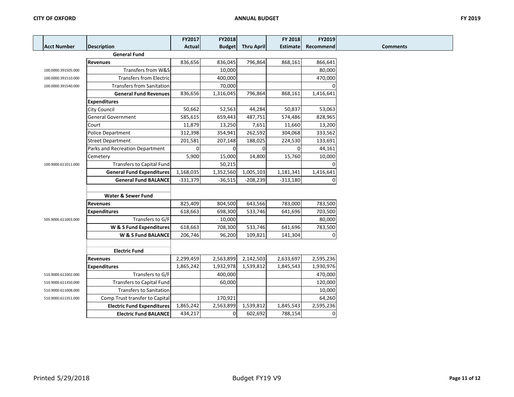|                     |                                   | FY2017        | FY2018         |                   | FY 2018         | FY2019    |                 |
|---------------------|-----------------------------------|---------------|----------------|-------------------|-----------------|-----------|-----------------|
| <b>Acct Number</b>  | <b>Description</b>                | <b>Actual</b> | <b>Budget</b>  | <b>Thru April</b> | <b>Estimate</b> | Recommend | <b>Comments</b> |
|                     | <b>General Fund</b>               |               |                |                   |                 |           |                 |
|                     | <b>Revenues</b>                   | 836,656       | 836,045        | 796,864           | 868,161         | 866,641   |                 |
| 100.0000.391505.000 | Transfers from W&S                |               | 10,000         |                   |                 | 80,000    |                 |
| 100.0000.391510.000 | <b>Transfers from Electric</b>    |               | 400,000        |                   |                 | 470,000   |                 |
| 100.0000.391540.000 | <b>Transfers from Sanitation</b>  |               | 70,000         |                   |                 |           |                 |
|                     | <b>General Fund Revenues</b>      | 836,656       | 1,316,045      | 796,864           | 868,161         | 1,416,641 |                 |
|                     | <b>Expenditures</b>               |               |                |                   |                 |           |                 |
|                     | <b>City Council</b>               | 50,662        | 52,563         | 44,284            | 50,837          | 53,063    |                 |
|                     | <b>General Government</b>         | 585,615       | 659,443        | 487,751           | 574,486         | 828,965   |                 |
|                     | Court                             | 11,879        | 13,250         | 7,651             | 11,660          | 13,200    |                 |
|                     | <b>Police Department</b>          | 312,398       | 354,941        | 262,592           | 304,068         | 333,562   |                 |
|                     | <b>Street Department</b>          | 201,581       | 207,148        | 188,025           | 224,530         | 133,691   |                 |
|                     | Parks and Recreation Department   | $\Omega$      | 0              | $\Omega$          | $\Omega$        | 44,161    |                 |
|                     | Cemetery                          | 5,900         | 15,000         | 14,800            | 15,760          | 10,000    |                 |
| 100.9000.611011.000 | <b>Transfers to Capital Fund</b>  |               | 50,215         |                   |                 |           |                 |
|                     | <b>General Fund Expenditures</b>  | 1,168,035     | 1,352,560      | 1,005,103         | 1,181,341       | 1,416,641 |                 |
|                     | <b>General Fund BALANCE</b>       | $-331,379$    | $-36,515$      | $-208,239$        | $-313,180$      | $\Omega$  |                 |
|                     |                                   |               |                |                   |                 |           |                 |
|                     | <b>Water &amp; Sewer Fund</b>     |               |                |                   |                 |           |                 |
|                     | <b>Revenues</b>                   | 825,409       | 804,500        | 643,566           | 783,000         | 783,500   |                 |
|                     | <b>Expenditures</b>               | 618,663       | 698,300        | 533,746           | 641,696         | 703,500   |                 |
| 505.9000.611003.000 | Transfers to G/F                  |               | 10,000         |                   |                 | 80,000    |                 |
|                     | W & S Fund Expenditures           | 618,663       | 708,300        | 533,746           | 641,696         | 783,500   |                 |
|                     | W & S Fund BALANCE                | 206,746       | 96,200         | 109,821           | 141,304         | 0         |                 |
|                     |                                   |               |                |                   |                 |           |                 |
|                     | <b>Electric Fund</b>              |               |                |                   |                 |           |                 |
|                     | <b>Revenues</b>                   | 2,299,459     | 2,563,899      | 2,142,503         | 2,633,697       | 2,595,236 |                 |
|                     | <b>Expenditures</b>               | 1,865,242     | 1,932,978      | 1,539,812         | 1,845,543       | 1,930,976 |                 |
| 510.9000.611002.000 | Transfers to G/F                  |               | 400,000        |                   |                 | 470,000   |                 |
| 510.9000.611350.000 | <b>Transfers to Capital Fund</b>  |               | 60,000         |                   |                 | 120,000   |                 |
| 510.9000.611008.000 | <b>Transfers to Sanitation</b>    |               |                |                   |                 | 10,000    |                 |
| 510.9000.611351.000 | Comp Trust transfer to Capital    |               | 170,921        |                   |                 | 64,260    |                 |
|                     | <b>Electric Fund Expenditures</b> | 1,865,242     | 2,563,899      | 1,539,812         | 1,845,543       | 2,595,236 |                 |
|                     | <b>Electric Fund BALANCE</b>      | 434,217       | $\overline{0}$ | 602,692           | 788,154         | 0         |                 |